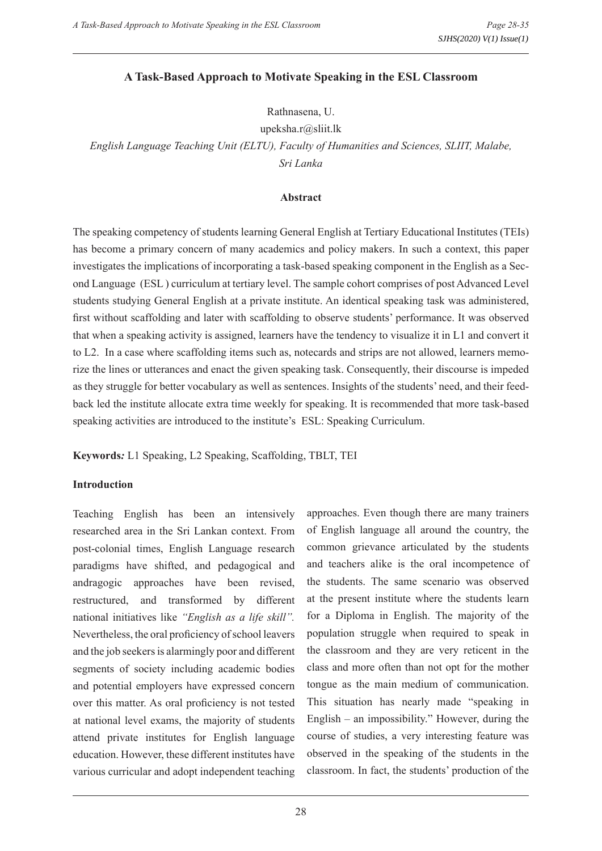#### **A Task-Based Approach to Motivate Speaking in the ESL Classroom**

Rathnasena, U.

upeksha.r@sliit.lk

*English Language Teaching Unit (ELTU), Faculty of Humanities and Sciences, SLIIT, Malabe, Sri Lanka*

#### **Abstract**

The speaking competency of students learning General English at Tertiary Educational Institutes (TEIs) has become a primary concern of many academics and policy makers. In such a context, this paper investigates the implications of incorporating a task-based speaking component in the English as a Second Language (ESL ) curriculum at tertiary level. The sample cohort comprises of post Advanced Level students studying General English at a private institute. An identical speaking task was administered, first without scaffolding and later with scaffolding to observe students' performance. It was observed that when a speaking activity is assigned, learners have the tendency to visualize it in L1 and convert it to L2. In a case where scaffolding items such as, notecards and strips are not allowed, learners memorize the lines or utterances and enact the given speaking task. Consequently, their discourse is impeded as they struggle for better vocabulary as well as sentences. Insights of the students' need, and their feedback led the institute allocate extra time weekly for speaking. It is recommended that more task-based speaking activities are introduced to the institute's ESL: Speaking Curriculum.

**Keywords***:* L1 Speaking, L2 Speaking, Scaffolding, TBLT, TEI

#### **Introduction**

Teaching English has been an intensively researched area in the Sri Lankan context. From post-colonial times, English Language research paradigms have shifted, and pedagogical and andragogic approaches have been revised, restructured, and transformed by different national initiatives like *"English as a life skill".* Nevertheless, the oral proficiency of school leavers and the job seekers is alarmingly poor and different segments of society including academic bodies and potential employers have expressed concern over this matter. As oral proficiency is not tested at national level exams, the majority of students attend private institutes for English language education. However, these different institutes have various curricular and adopt independent teaching

approaches. Even though there are many trainers of English language all around the country, the common grievance articulated by the students and teachers alike is the oral incompetence of the students. The same scenario was observed at the present institute where the students learn for a Diploma in English. The majority of the population struggle when required to speak in the classroom and they are very reticent in the class and more often than not opt for the mother tongue as the main medium of communication. This situation has nearly made "speaking in English – an impossibility." However, during the course of studies, a very interesting feature was observed in the speaking of the students in the classroom. In fact, the students' production of the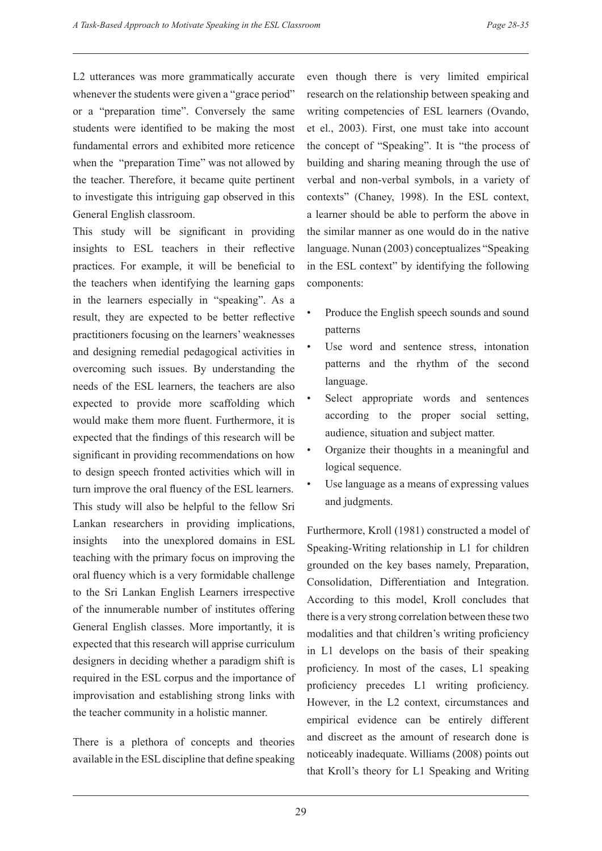L2 utterances was more grammatically accurate whenever the students were given a "grace period" or a "preparation time". Conversely the same students were identified to be making the most fundamental errors and exhibited more reticence when the "preparation Time" was not allowed by the teacher. Therefore, it became quite pertinent to investigate this intriguing gap observed in this General English classroom.

This study will be significant in providing insights to ESL teachers in their reflective practices. For example, it will be beneficial to the teachers when identifying the learning gaps in the learners especially in "speaking". As a result, they are expected to be better reflective practitioners focusing on the learners' weaknesses and designing remedial pedagogical activities in overcoming such issues. By understanding the needs of the ESL learners, the teachers are also expected to provide more scaffolding which would make them more fluent. Furthermore, it is expected that the findings of this research will be significant in providing recommendations on how to design speech fronted activities which will in turn improve the oral fluency of the ESL learners. This study will also be helpful to the fellow Sri Lankan researchers in providing implications, insights into the unexplored domains in ESL teaching with the primary focus on improving the oral fluency which is a very formidable challenge to the Sri Lankan English Learners irrespective of the innumerable number of institutes offering General English classes. More importantly, it is expected that this research will apprise curriculum designers in deciding whether a paradigm shift is required in the ESL corpus and the importance of improvisation and establishing strong links with the teacher community in a holistic manner.

There is a plethora of concepts and theories available in the ESL discipline that define speaking

even though there is very limited empirical research on the relationship between speaking and writing competencies of ESL learners (Ovando, et el., 2003). First, one must take into account the concept of "Speaking". It is "the process of building and sharing meaning through the use of verbal and non-verbal symbols, in a variety of contexts" (Chaney, 1998). In the ESL context, a learner should be able to perform the above in the similar manner as one would do in the native language. Nunan (2003) conceptualizes "Speaking in the ESL context" by identifying the following components:

- Produce the English speech sounds and sound patterns
- Use word and sentence stress, intonation patterns and the rhythm of the second language.
- Select appropriate words and sentences according to the proper social setting, audience, situation and subject matter.
- Organize their thoughts in a meaningful and logical sequence.
- Use language as a means of expressing values and judgments.

Furthermore, Kroll (1981) constructed a model of Speaking-Writing relationship in L1 for children grounded on the key bases namely, Preparation, Consolidation, Differentiation and Integration. According to this model, Kroll concludes that there is a very strong correlation between these two modalities and that children's writing proficiency in L1 develops on the basis of their speaking proficiency. In most of the cases, L1 speaking proficiency precedes L1 writing proficiency. However, in the L2 context, circumstances and empirical evidence can be entirely different and discreet as the amount of research done is noticeably inadequate. Williams (2008) points out that Kroll's theory for L1 Speaking and Writing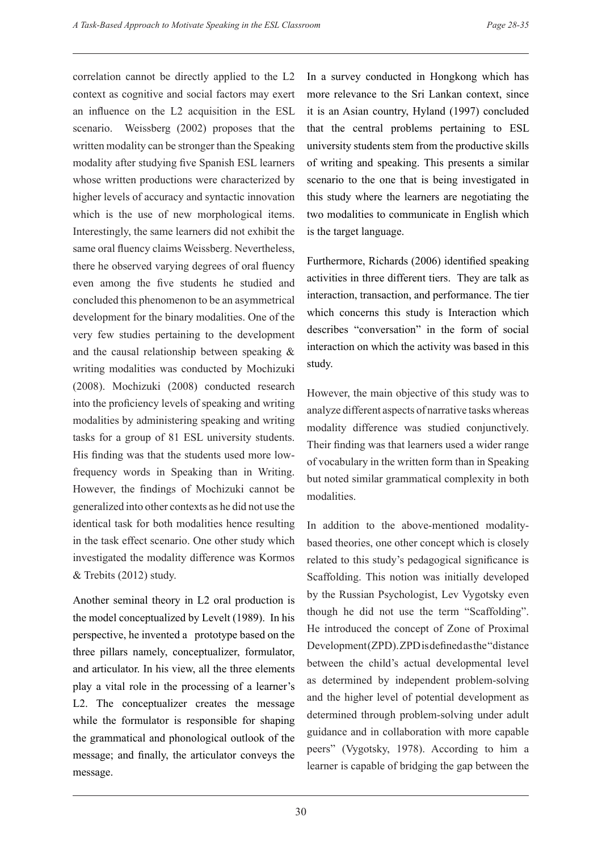correlation cannot be directly applied to the L2 context as cognitive and social factors may exert an influence on the L2 acquisition in the ESL scenario. Weissberg (2002) proposes that the written modality can be stronger than the Speaking modality after studying five Spanish ESL learners whose written productions were characterized by higher levels of accuracy and syntactic innovation which is the use of new morphological items. Interestingly, the same learners did not exhibit the same oral fluency claims Weissberg. Nevertheless, there he observed varying degrees of oral fluency even among the five students he studied and concluded this phenomenon to be an asymmetrical development for the binary modalities. One of the very few studies pertaining to the development and the causal relationship between speaking & writing modalities was conducted by Mochizuki (2008). Mochizuki (2008) conducted research into the proficiency levels of speaking and writing modalities by administering speaking and writing tasks for a group of 81 ESL university students. His finding was that the students used more lowfrequency words in Speaking than in Writing. However, the findings of Mochizuki cannot be generalized into other contexts as he did not use the identical task for both modalities hence resulting in the task effect scenario. One other study which investigated the modality difference was Kormos & Trebits (2012) study.

Another seminal theory in L2 oral production is the model conceptualized by Levelt (1989). In his perspective, he invented a prototype based on the three pillars namely, conceptualizer, formulator, and articulator. In his view, all the three elements play a vital role in the processing of a learner's L2. The conceptualizer creates the message while the formulator is responsible for shaping the grammatical and phonological outlook of the message; and finally, the articulator conveys the message.

In a survey conducted in Hongkong which has more relevance to the Sri Lankan context, since it is an Asian country, Hyland (1997) concluded that the central problems pertaining to ESL university students stem from the productive skills of writing and speaking. This presents a similar scenario to the one that is being investigated in this study where the learners are negotiating the two modalities to communicate in English which is the target language.

Furthermore, Richards (2006) identified speaking activities in three different tiers. They are talk as interaction, transaction, and performance. The tier which concerns this study is Interaction which describes "conversation" in the form of social interaction on which the activity was based in this study.

However, the main objective of this study was to analyze different aspects of narrative tasks whereas modality difference was studied conjunctively. Their finding was that learners used a wider range of vocabulary in the written form than in Speaking but noted similar grammatical complexity in both modalities.

In addition to the above-mentioned modalitybased theories, one other concept which is closely related to this study's pedagogical significance is Scaffolding. This notion was initially developed by the Russian Psychologist, Lev Vygotsky even though he did not use the term "Scaffolding". He introduced the concept of Zone of Proximal Development (ZPD). ZPD is defined as the "distance between the child's actual developmental level as determined by independent problem-solving and the higher level of potential development as determined through problem-solving under adult guidance and in collaboration with more capable peers" (Vygotsky, 1978). According to him a learner is capable of bridging the gap between the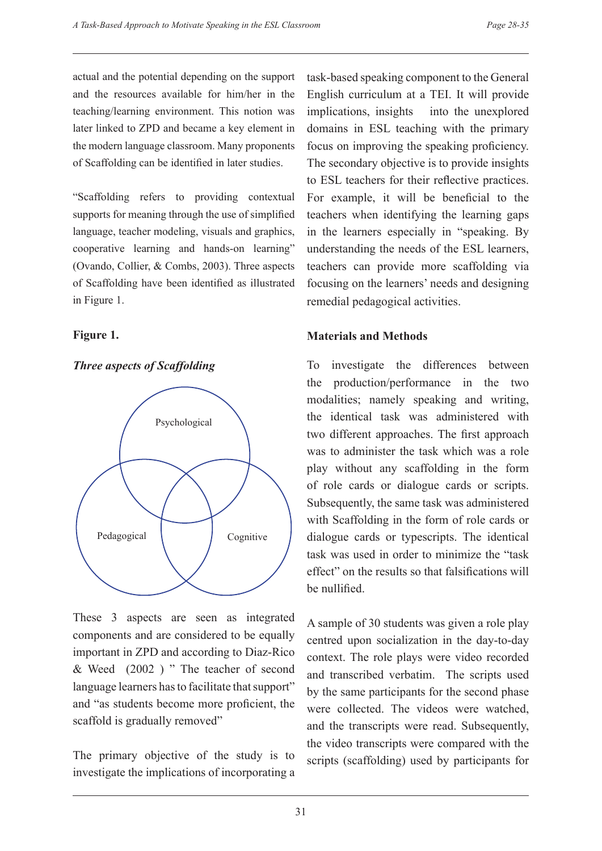actual and the potential depending on the support and the resources available for him/her in the teaching/learning environment. This notion was later linked to ZPD and became a key element in the modern language classroom. Many proponents of Scaffolding can be identified in later studies.

"Scaffolding refers to providing contextual supports for meaning through the use of simplified language, teacher modeling, visuals and graphics, cooperative learning and hands-on learning" (Ovando, Collier, & Combs, 2003). Three aspects of Scaffolding have been identified as illustrated in Figure 1.

#### **Figure 1.**

#### *Three aspects of Scaffolding*



These 3 aspects are seen as integrated components and are considered to be equally important in ZPD and according to Diaz-Rico & Weed (2002 ) " The teacher of second language learners has to facilitate that support" and "as students become more proficient, the scaffold is gradually removed"

The primary objective of the study is to investigate the implications of incorporating a task-based speaking component to the General English curriculum at a TEI. It will provide implications, insights into the unexplored domains in ESL teaching with the primary focus on improving the speaking proficiency. The secondary objective is to provide insights to ESL teachers for their reflective practices. For example, it will be beneficial to the teachers when identifying the learning gaps in the learners especially in "speaking. By understanding the needs of the ESL learners, teachers can provide more scaffolding via focusing on the learners' needs and designing remedial pedagogical activities.

#### **Materials and Methods**

To investigate the differences between the production/performance in the two modalities; namely speaking and writing, the identical task was administered with two different approaches. The first approach was to administer the task which was a role play without any scaffolding in the form of role cards or dialogue cards or scripts. Subsequently, the same task was administered with Scaffolding in the form of role cards or dialogue cards or typescripts. The identical task was used in order to minimize the "task effect" on the results so that falsifications will be nullified.

A sample of 30 students was given a role play centred upon socialization in the day-to-day context. The role plays were video recorded and transcribed verbatim. The scripts used by the same participants for the second phase were collected. The videos were watched, and the transcripts were read. Subsequently, the video transcripts were compared with the scripts (scaffolding) used by participants for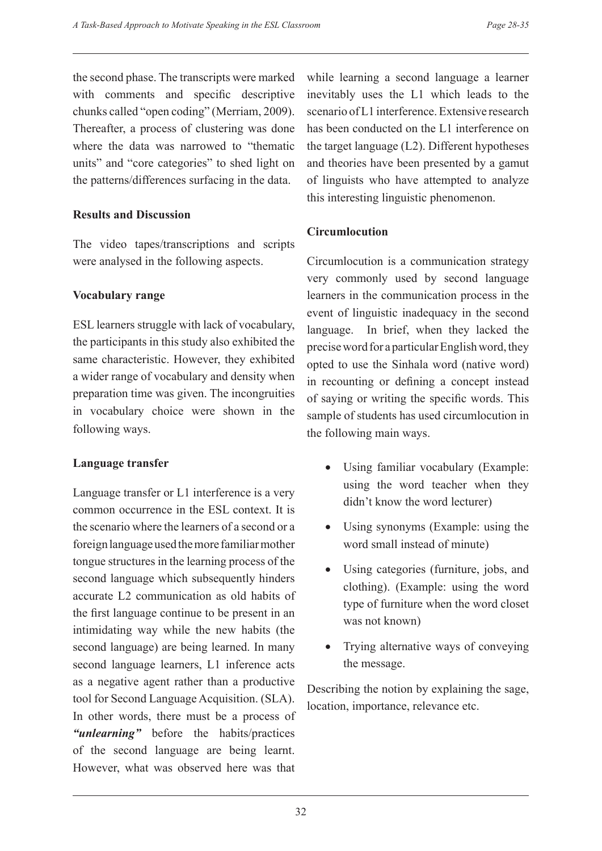the second phase. The transcripts were marked with comments and specific descriptive chunks called "open coding" (Merriam, 2009). Thereafter, a process of clustering was done where the data was narrowed to "thematic units" and "core categories" to shed light on the patterns/differences surfacing in the data.

#### **Results and Discussion**

The video tapes/transcriptions and scripts were analysed in the following aspects.

#### **Vocabulary range**

ESL learners struggle with lack of vocabulary, the participants in this study also exhibited the same characteristic. However, they exhibited a wider range of vocabulary and density when preparation time was given. The incongruities in vocabulary choice were shown in the following ways.

# **Language transfer**

Language transfer or L1 interference is a very common occurrence in the ESL context. It is the scenario where the learners of a second or a foreign language used the more familiar mother tongue structures in the learning process of the second language which subsequently hinders accurate L2 communication as old habits of the first language continue to be present in an intimidating way while the new habits (the second language) are being learned. In many second language learners, L1 inference acts as a negative agent rather than a productive tool for Second Language Acquisition. (SLA). In other words, there must be a process of *"unlearning"* before the habits/practices of the second language are being learnt. However, what was observed here was that while learning a second language a learner inevitably uses the L1 which leads to the scenario of L1 interference. Extensive research has been conducted on the L1 interference on the target language (L2). Different hypotheses and theories have been presented by a gamut of linguists who have attempted to analyze this interesting linguistic phenomenon.

# **Circumlocution**

Circumlocution is a communication strategy very commonly used by second language learners in the communication process in the event of linguistic inadequacy in the second language. In brief, when they lacked the precise word for a particular English word, they opted to use the Sinhala word (native word) in recounting or defining a concept instead of saying or writing the specific words. This sample of students has used circumlocution in the following main ways.

- Using familiar vocabulary (Example: using the word teacher when they didn't know the word lecturer)
- Using synonyms (Example: using the word small instead of minute)
- Using categories (furniture, jobs, and clothing). (Example: using the word type of furniture when the word closet was not known)
- Trying alternative ways of conveying the message.

Describing the notion by explaining the sage, location, importance, relevance etc.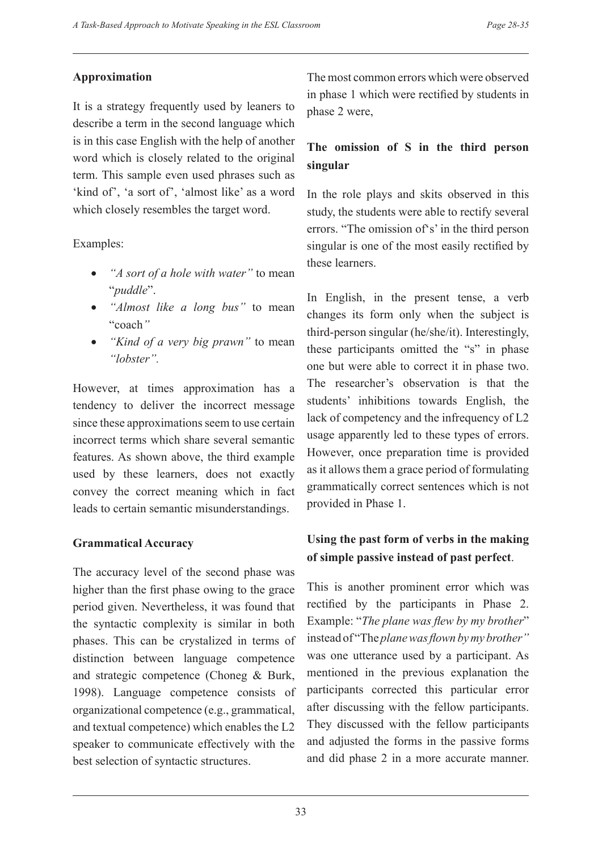#### **Approximation**

It is a strategy frequently used by leaners to describe a term in the second language which is in this case English with the help of another word which is closely related to the original term. This sample even used phrases such as 'kind of', 'a sort of', 'almost like' as a word which closely resembles the target word.

Examples:

- • *"A sort of a hole with water"* to mean "*puddle*".
- • *"Almost like a long bus"* to mean "coach*"*
- • *"Kind of a very big prawn"* to mean *"lobster".*

However, at times approximation has a tendency to deliver the incorrect message since these approximations seem to use certain incorrect terms which share several semantic features. As shown above, the third example used by these learners, does not exactly convey the correct meaning which in fact leads to certain semantic misunderstandings.

# **Grammatical Accuracy**

The accuracy level of the second phase was higher than the first phase owing to the grace period given. Nevertheless, it was found that the syntactic complexity is similar in both phases. This can be crystalized in terms of distinction between language competence and strategic competence (Choneg & Burk, 1998). Language competence consists of organizational competence (e.g., grammatical, and textual competence) which enables the L2 speaker to communicate effectively with the best selection of syntactic structures.

The most common errors which were observed in phase 1 which were rectified by students in phase 2 were,

# **The omission of S in the third person singular**

In the role plays and skits observed in this study, the students were able to rectify several errors. "The omission of's' in the third person singular is one of the most easily rectified by these learners.

In English, in the present tense, a verb changes its form only when the subject is third-person singular (he/she/it). Interestingly, these participants omitted the "s" in phase one but were able to correct it in phase two. The researcher's observation is that the students' inhibitions towards English, the lack of competency and the infrequency of L2 usage apparently led to these types of errors. However, once preparation time is provided as it allows them a grace period of formulating grammatically correct sentences which is not provided in Phase 1.

# **Using the past form of verbs in the making of simple passive instead of past perfect**.

This is another prominent error which was rectified by the participants in Phase 2. Example: "*The plane was flew by my brother*" instead of "The *plane was flown by my brother"*  was one utterance used by a participant. As mentioned in the previous explanation the participants corrected this particular error after discussing with the fellow participants. They discussed with the fellow participants and adjusted the forms in the passive forms and did phase 2 in a more accurate manner.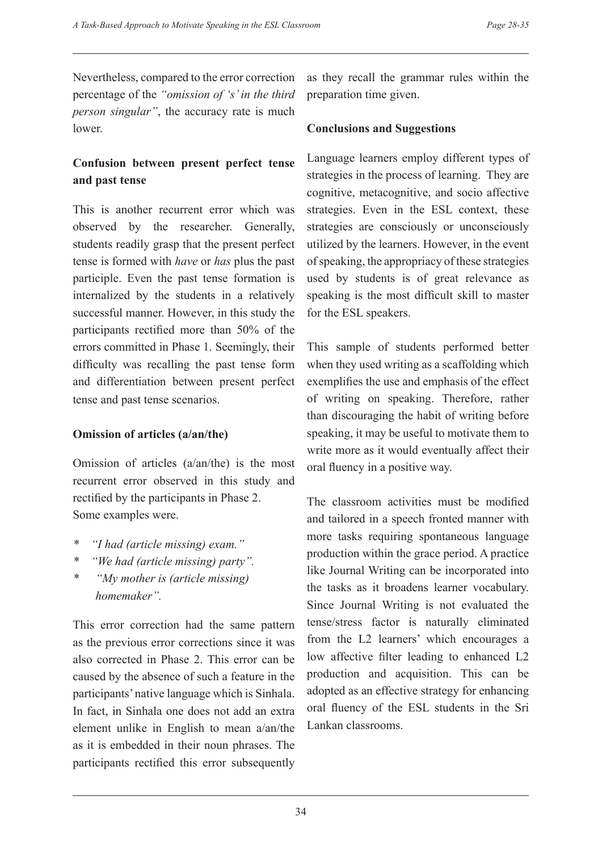Nevertheless, compared to the error correction percentage of the *"omission of 's' in the third person singular"*, the accuracy rate is much lower.

# **Confusion between present perfect tense and past tense**

This is another recurrent error which was observed by the researcher. Generally, students readily grasp that the present perfect tense is formed with *have* or *has* plus the past participle. Even the past tense formation is internalized by the students in a relatively successful manner. However, in this study the participants rectified more than 50% of the errors committed in Phase 1. Seemingly, their difficulty was recalling the past tense form and differentiation between present perfect tense and past tense scenarios.

#### **Omission of articles (a/an/the)**

Omission of articles (a/an/the) is the most recurrent error observed in this study and rectified by the participants in Phase 2. Some examples were.

- *\* "I had (article missing) exam."*
- *\* "We had (article missing) party".*
- *\* "My mother is (article missing) homemaker".*

This error correction had the same pattern as the previous error corrections since it was also corrected in Phase 2. This error can be caused by the absence of such a feature in the participants' native language which is Sinhala. In fact, in Sinhala one does not add an extra element unlike in English to mean a/an/the as it is embedded in their noun phrases. The participants rectified this error subsequently as they recall the grammar rules within the preparation time given.

# **Conclusions and Suggestions**

Language learners employ different types of strategies in the process of learning. They are cognitive, metacognitive, and socio affective strategies. Even in the ESL context, these strategies are consciously or unconsciously utilized by the learners. However, in the event of speaking, the appropriacy of these strategies used by students is of great relevance as speaking is the most difficult skill to master for the ESL speakers.

This sample of students performed better when they used writing as a scaffolding which exemplifies the use and emphasis of the effect of writing on speaking. Therefore, rather than discouraging the habit of writing before speaking, it may be useful to motivate them to write more as it would eventually affect their oral fluency in a positive way.

The classroom activities must be modified and tailored in a speech fronted manner with more tasks requiring spontaneous language production within the grace period. A practice like Journal Writing can be incorporated into the tasks as it broadens learner vocabulary. Since Journal Writing is not evaluated the tense/stress factor is naturally eliminated from the L2 learners' which encourages a low affective filter leading to enhanced L2 production and acquisition. This can be adopted as an effective strategy for enhancing oral fluency of the ESL students in the Sri Lankan classrooms.